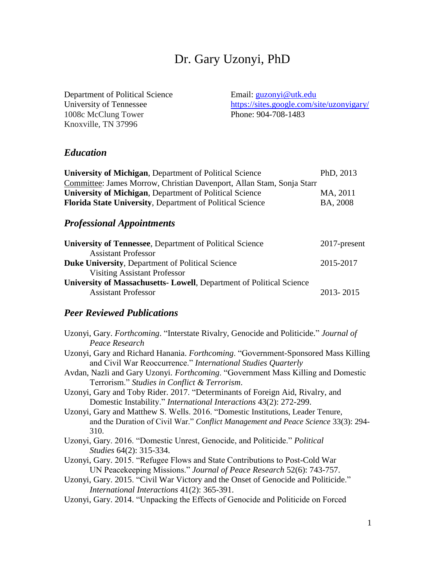# Dr. Gary Uzonyi, PhD

Department of Political Science University of Tennessee 1008c McClung Tower Knoxville, TN 37996

Email: [guzonyi@utk.edu](mailto:guzonyi@utk.edu) <https://sites.google.com/site/uzonyigary/> Phone: 904-708-1483

# *Education*

| <b>University of Michigan, Department of Political Science</b>        | PhD, 2013 |
|-----------------------------------------------------------------------|-----------|
| Committee: James Morrow, Christian Davenport, Allan Stam, Sonja Starr |           |
| <b>University of Michigan, Department of Political Science</b>        | MA, 2011  |
| Florida State University, Department of Political Science             | BA, 2008  |
|                                                                       |           |

# *Professional Appointments*

| <b>University of Tennessee, Department of Political Science</b>       | 2017-present |
|-----------------------------------------------------------------------|--------------|
| <b>Assistant Professor</b>                                            |              |
| <b>Duke University, Department of Political Science</b>               | 2015-2017    |
| <b>Visiting Assistant Professor</b>                                   |              |
| University of Massachusetts - Lowell, Department of Political Science |              |
| <b>Assistant Professor</b>                                            | 2013-2015    |

# *Peer Reviewed Publications*

| Uzonyi, Gary. Forthcoming. "Interstate Rivalry, Genocide and Politicide." Journal of |
|--------------------------------------------------------------------------------------|
| Peace Research                                                                       |
| Uzonyi, Gary and Richard Hanania. Forthcoming. "Government-Sponsored Mass Killing"   |
| and Civil War Reoccurrence." International Studies Quarterly                         |
| Avdan, Nazli and Gary Uzonyi. Forthcoming. "Government Mass Killing and Domestic     |
| Terrorism." Studies in Conflict & Terrorism.                                         |
| Uzonyi, Gary and Toby Rider. 2017. "Determinants of Foreign Aid, Rivalry, and        |
| Domestic Instability." International Interactions 43(2): 272-299.                    |
| Uzonyi, Gary and Matthew S. Wells. 2016. "Domestic Institutions, Leader Tenure,      |
| and the Duration of Civil War." Conflict Management and Peace Science 33(3): 294-    |
| 310.                                                                                 |
| Uzonyi, Gary. 2016. "Domestic Unrest, Genocide, and Politicide." Political           |
| Studies 64(2): 315-334.                                                              |
| Uzonyi, Gary. 2015. "Refugee Flows and State Contributions to Post-Cold War          |
| UN Peacekeeping Missions." Journal of Peace Research 52(6): 743-757.                 |
| Uzonyi, Gary. 2015. "Civil War Victory and the Onset of Genocide and Politicide."    |
| International Interactions 41(2): 365-391.                                           |
| Uzonyi, Gary. 2014. "Unpacking the Effects of Genocide and Politicide on Forced      |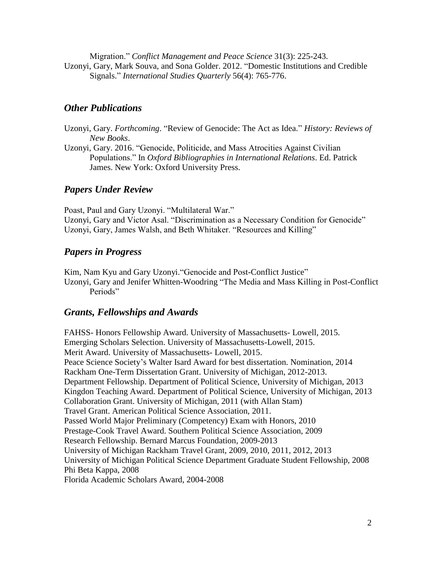Migration." *Conflict Management and Peace Science* 31(3): 225-243. Uzonyi, Gary, Mark Souva, and Sona Golder. 2012. "Domestic Institutions and Credible Signals." *International Studies Quarterly* 56(4): 765-776.

## *Other Publications*

- Uzonyi, Gary. *Forthcoming*. "Review of Genocide: The Act as Idea." *History: Reviews of New Books*.
- Uzonyi, Gary. 2016. "Genocide, Politicide, and Mass Atrocities Against Civilian Populations." In *Oxford Bibliographies in International Relations*. Ed. Patrick James. New York: Oxford University Press.

#### *Papers Under Review*

Poast, Paul and Gary Uzonyi. "Multilateral War." Uzonyi, Gary and Victor Asal. "Discrimination as a Necessary Condition for Genocide" Uzonyi, Gary, James Walsh, and Beth Whitaker. "Resources and Killing"

#### *Papers in Progress*

Kim, Nam Kyu and Gary Uzonyi."Genocide and Post-Conflict Justice" Uzonyi, Gary and Jenifer Whitten-Woodring "The Media and Mass Killing in Post-Conflict Periods"

## *Grants, Fellowships and Awards*

FAHSS- Honors Fellowship Award. University of Massachusetts- Lowell, 2015. Emerging Scholars Selection. University of Massachusetts-Lowell, 2015. Merit Award. University of Massachusetts- Lowell, 2015. Peace Science Society's Walter Isard Award for best dissertation. Nomination, 2014 Rackham One-Term Dissertation Grant. University of Michigan, 2012-2013. Department Fellowship. Department of Political Science, University of Michigan, 2013 Kingdon Teaching Award. Department of Political Science, University of Michigan, 2013 Collaboration Grant. University of Michigan, 2011 (with Allan Stam) Travel Grant. American Political Science Association, 2011. Passed World Major Preliminary (Competency) Exam with Honors, 2010 Prestage-Cook Travel Award. Southern Political Science Association, 2009 Research Fellowship. Bernard Marcus Foundation, 2009-2013 University of Michigan Rackham Travel Grant, 2009, 2010, 2011, 2012, 2013 University of Michigan Political Science Department Graduate Student Fellowship, 2008 Phi Beta Kappa, 2008 Florida Academic Scholars Award, 2004-2008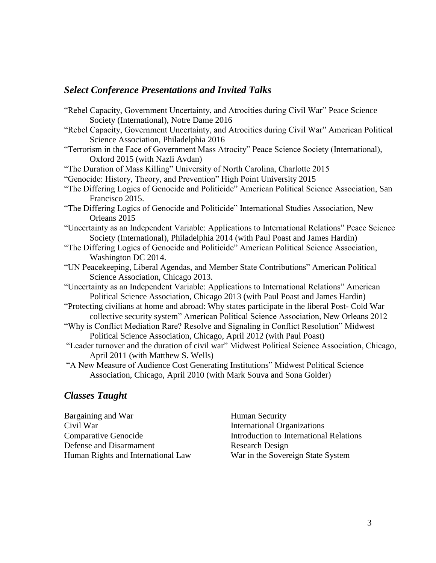#### *Select Conference Presentations and Invited Talks*

"Rebel Capacity, Government Uncertainty, and Atrocities during Civil War" Peace Science Society (International), Notre Dame 2016 "Rebel Capacity, Government Uncertainty, and Atrocities during Civil War" American Political Science Association, Philadelphia 2016 "Terrorism in the Face of Government Mass Atrocity" Peace Science Society (International), Oxford 2015 (with Nazli Avdan) "The Duration of Mass Killing" University of North Carolina, Charlotte 2015 "Genocide: History, Theory, and Prevention" High Point University 2015 "The Differing Logics of Genocide and Politicide" American Political Science Association, San Francisco 2015. "The Differing Logics of Genocide and Politicide" International Studies Association, New Orleans 2015 "Uncertainty as an Independent Variable: Applications to International Relations" Peace Science Society (International), Philadelphia 2014 (with Paul Poast and James Hardin) "The Differing Logics of Genocide and Politicide" American Political Science Association, Washington DC 2014. "UN Peacekeeping, Liberal Agendas, and Member State Contributions" American Political Science Association, Chicago 2013. "Uncertainty as an Independent Variable: Applications to International Relations" American Political Science Association, Chicago 2013 (with Paul Poast and James Hardin) "Protecting civilians at home and abroad: Why states participate in the liberal Post- Cold War collective security system" American Political Science Association, New Orleans 2012 "Why is Conflict Mediation Rare? Resolve and Signaling in Conflict Resolution" Midwest Political Science Association, Chicago, April 2012 (with Paul Poast) "Leader turnover and the duration of civil war" Midwest Political Science Association, Chicago, April 2011 (with Matthew S. Wells) "A New Measure of Audience Cost Generating Institutions" Midwest Political Science Association, Chicago, April 2010 (with Mark Souva and Sona Golder)

# *Classes Taught*

Bargaining and War Civil War Comparative Genocide Defense and Disarmament Human Rights and International Law

Human Security International Organizations Introduction to International Relations Research Design War in the Sovereign State System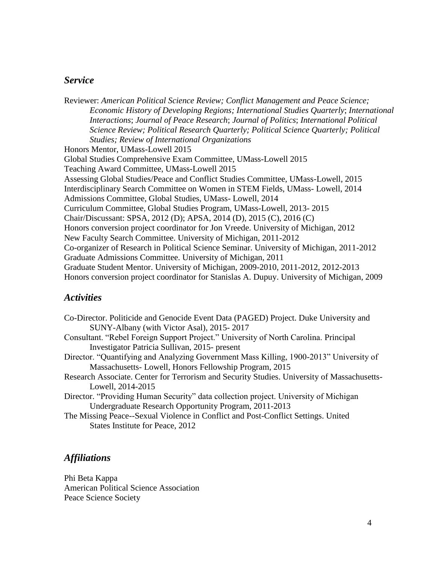#### *Service*

Reviewer: *American Political Science Review; Conflict Management and Peace Science; Economic History of Developing Regions; International Studies Quarterly*; *International Interactions*; *Journal of Peace Research*; *Journal of Politics*; *International Political Science Review; Political Research Quarterly; Political Science Quarterly; Political Studies; Review of International Organizations* Honors Mentor, UMass-Lowell 2015 Global Studies Comprehensive Exam Committee, UMass-Lowell 2015 Teaching Award Committee, UMass-Lowell 2015 Assessing Global Studies/Peace and Conflict Studies Committee, UMass-Lowell, 2015 Interdisciplinary Search Committee on Women in STEM Fields, UMass- Lowell, 2014 Admissions Committee, Global Studies, UMass- Lowell, 2014 Curriculum Committee, Global Studies Program, UMass-Lowell, 2013- 2015 Chair/Discussant: SPSA, 2012 (D); APSA, 2014 (D), 2015 (C), 2016 (C) Honors conversion project coordinator for Jon Vreede. University of Michigan, 2012 New Faculty Search Committee. University of Michigan, 2011-2012 Co-organizer of Research in Political Science Seminar. University of Michigan, 2011-2012 Graduate Admissions Committee. University of Michigan, 2011 Graduate Student Mentor. University of Michigan, 2009-2010, 2011-2012, 2012-2013 Honors conversion project coordinator for Stanislas A. Dupuy. University of Michigan, 2009

## *Activities*

| Co-Director. Politicide and Genocide Event Data (PAGED) Project. Duke University and        |
|---------------------------------------------------------------------------------------------|
| SUNY-Albany (with Victor Asal), 2015-2017                                                   |
| Consultant. "Rebel Foreign Support Project." University of North Carolina. Principal        |
| Investigator Patricia Sullivan, 2015- present                                               |
| Director. "Quantifying and Analyzing Government Mass Killing, 1900-2013" University of      |
| Massachusetts- Lowell, Honors Fellowship Program, 2015                                      |
| Research Associate. Center for Terrorism and Security Studies. University of Massachusetts- |
| Lowell, 2014-2015                                                                           |
| Director. "Providing Human Security" data collection project. University of Michigan        |
| Undergraduate Research Opportunity Program, 2011-2013                                       |
| The Missing Peace--Sexual Violence in Conflict and Post-Conflict Settings. United           |
| States Institute for Peace, 2012                                                            |

#### *Affiliations*

Phi Beta Kappa American Political Science Association Peace Science Society